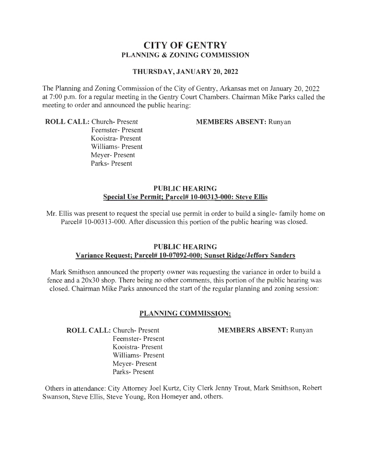# **CITY OF GENTRY PLANNING & ZONING COMMISSION**

#### **THURSDAY, JANUARY 20, 2022**

The Planning and Zoning Commission of the City of Gentry, Arkansas met on January 20,2022 at 7:00 p.m. for a regular meeting in the Gentry Court Chambers. Chairman Mike Parks called the meeting to order and announced the public hearing:

**ROLL CALL:** Church- Present

**MEMBERS ABSENT:** Runyan

Feemster- Present Kooistra- Present Williams- Present Meyer- Present Parks- Present

#### **PUBLIC HEARING Special Use Permit; Parcel# 10-00313-000: Steve Ellis**

Mr. Ellis was present to request the special use permit in order to build a single- family home on Parcel# 10-00313-000. After discussion this portion of the public hearing was closed.

### **PUBLIC HEARING Variance Request; Parcel# 10-07092-000; Sunset Ridge/Jeffory Sanders**

Mark Smithson announced the property owner was requesting the variance in order to build a fence and a 20x30 shop. There being no other comments, this portion of the public hearing was closed. Chairman Mike Parks announced the start of the regular planning and zoning session:

### **PLANNING COMMISSION:**

**MEMBERS ABSENT:** Runyan

**ROLL CALL:** Church- Present Feemster- Present Kooistra- Present Williams- Present Meyer- Present Parks- Present

Others in attendance: City Attorney Joel Kurtz, City Clerk Jenny Trout, Mark Smithson, Robert Swanson, Steve Ellis, Steve Young, Ron Homeyer and, others.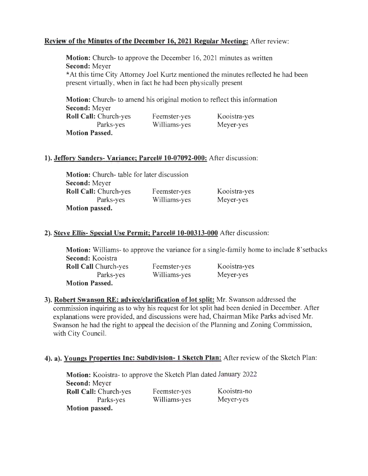## Review of the Minutes of the December 16, 2021 Regular Meeting: After review:

Motion: Church- to approve the December 16, 2021 minutes as written Second: Meyer \*At this time City Attorney Joel Kurtz mentioned the minutes reflected he had been present virtually, when in fact he had been physically present

Motion: Church- to amend his original motion to reflect this information Second: Meyer

| <b>Roll Call:</b> Church-yes | Feemster-yes | Kooistra-yes |
|------------------------------|--------------|--------------|
| Parks-yes                    | Williams-yes | Meyer-yes    |
| <b>Motion Passed.</b>        |              |              |

#### 1). Jeffory Sanders- Variance; Parcel# 10-07092-000: After discussion:

| <b>Motion:</b> Church-table for later discussion |              |              |
|--------------------------------------------------|--------------|--------------|
| <b>Second: Meyer</b>                             |              |              |
| <b>Roll Call: Church-yes</b>                     | Feemster-yes | Kooistra-yes |
| Parks-yes                                        | Williams-yes | Meyer-yes    |
| <b>Motion passed.</b>                            |              |              |

#### 2). Steve Ellis- Special Use Permit; Parcel# 10-00313-000 After discussion:

Motion: Williams- to approve the variance for a single-family home to include 8'setbacks Second: Kooistra Roll Call Church-yes Feemster-yes  $V$ ooistra-yes

| KOII CAII CHUICH-YES  | reemster-yes | NOUSH <sub>2</sub> -yes |
|-----------------------|--------------|-------------------------|
| Parks-yes             | Williams-yes | Meyer-yes               |
| <b>Motion Passed.</b> |              |                         |

3). Robert Swanson RE: advice/clarification of lot split: Mr. Swanson addressed the commission inquiring as to why his request for lot split had been denied in December. After explanations were provided, and discussions were had, Chairman Mike Parks advised Mr. Swanson he had the right to appeal the decision of the Planning and Zoning Commission, with City Council.

#### 4). a). Youngs Properties Inc: Subdivision- 1 Sketch Plan: After review of the Sketch Plan:

Motion: Kooistra- to approve the Sketch Plan dated January 2022 Second: Meyer Roll Call: Church-yes Parks-yes Motion passed. Feemster-yes Williams-yes Kooistra-no Meyer-yes